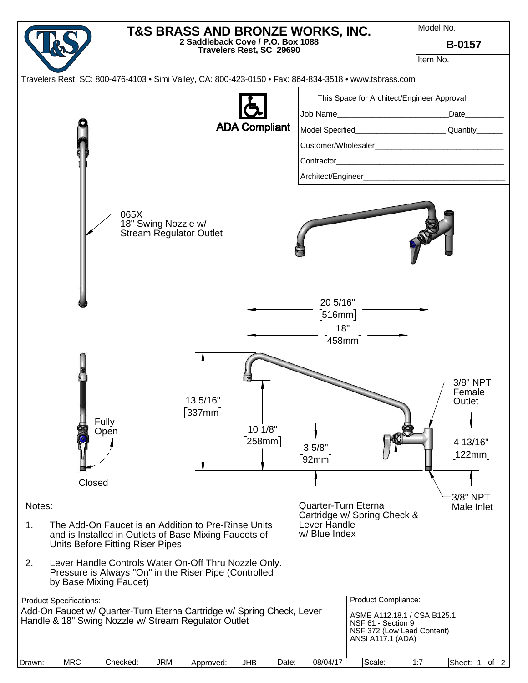